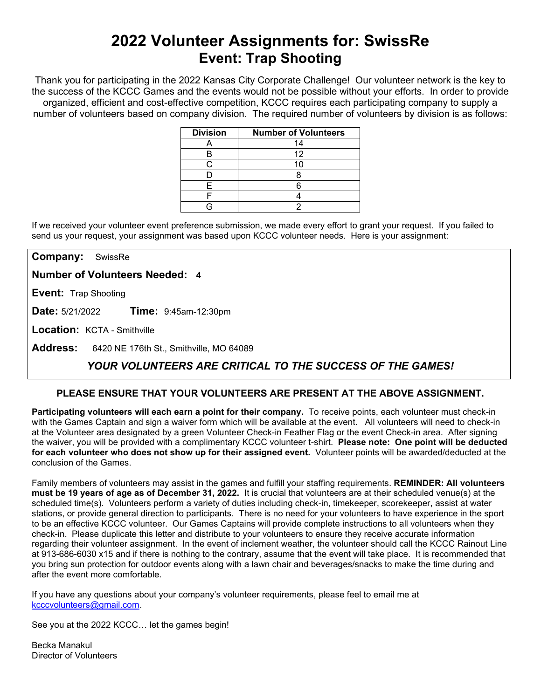# **2022 Volunteer Assignments for: SwissRe Event: Trap Shooting**

Thank you for participating in the 2022 Kansas City Corporate Challenge! Our volunteer network is the key to the success of the KCCC Games and the events would not be possible without your efforts.In order to provide organized, efficient and cost-effective competition, KCCC requires each participating company to supply a number of volunteers based on company division. The required number of volunteers by division is as follows:

| <b>Division</b> | <b>Number of Volunteers</b> |
|-----------------|-----------------------------|
|                 | 14                          |
|                 | 12                          |
|                 |                             |
|                 |                             |
|                 |                             |
|                 |                             |
|                 |                             |

If we received your volunteer event preference submission, we made every effort to grant your request. If you failed to send us your request, your assignment was based upon KCCC volunteer needs. Here is your assignment:

**Company:** SwissRe

**Number of Volunteers Needed: 4**

**Event:** Trap Shooting

**Date:** 5/21/2022 **Time:** 9:45am-12:30pm

**Location:** KCTA - Smithville

**Address:** 6420 NE 176th St., Smithville, MO 64089

## *YOUR VOLUNTEERS ARE CRITICAL TO THE SUCCESS OF THE GAMES!*

### **PLEASE ENSURE THAT YOUR VOLUNTEERS ARE PRESENT AT THE ABOVE ASSIGNMENT.**

**Participating volunteers will each earn a point for their company.** To receive points, each volunteer must check-in with the Games Captain and sign a waiver form which will be available at the event. All volunteers will need to check-in at the Volunteer area designated by a green Volunteer Check-in Feather Flag or the event Check-in area. After signing the waiver, you will be provided with a complimentary KCCC volunteer t-shirt. **Please note: One point will be deducted for each volunteer who does not show up for their assigned event.** Volunteer points will be awarded/deducted at the conclusion of the Games.

Family members of volunteers may assist in the games and fulfill your staffing requirements. **REMINDER: All volunteers must be 19 years of age as of December 31, 2022.** It is crucial that volunteers are at their scheduled venue(s) at the scheduled time(s). Volunteers perform a variety of duties including check-in, timekeeper, scorekeeper, assist at water stations, or provide general direction to participants. There is no need for your volunteers to have experience in the sport to be an effective KCCC volunteer. Our Games Captains will provide complete instructions to all volunteers when they check-in. Please duplicate this letter and distribute to your volunteers to ensure they receive accurate information regarding their volunteer assignment. In the event of inclement weather, the volunteer should call the KCCC Rainout Line at 913-686-6030 x15 and if there is nothing to the contrary, assume that the event will take place. It is recommended that you bring sun protection for outdoor events along with a lawn chair and beverages/snacks to make the time during and after the event more comfortable.

If you have any questions about your company's volunteer requirements, please feel to email me at [kcccvolunteers@gmail.com.](mailto:kcccvolunteers@gmail.com)

See you at the 2022 KCCC… let the games begin!

Becka Manakul Director of Volunteers